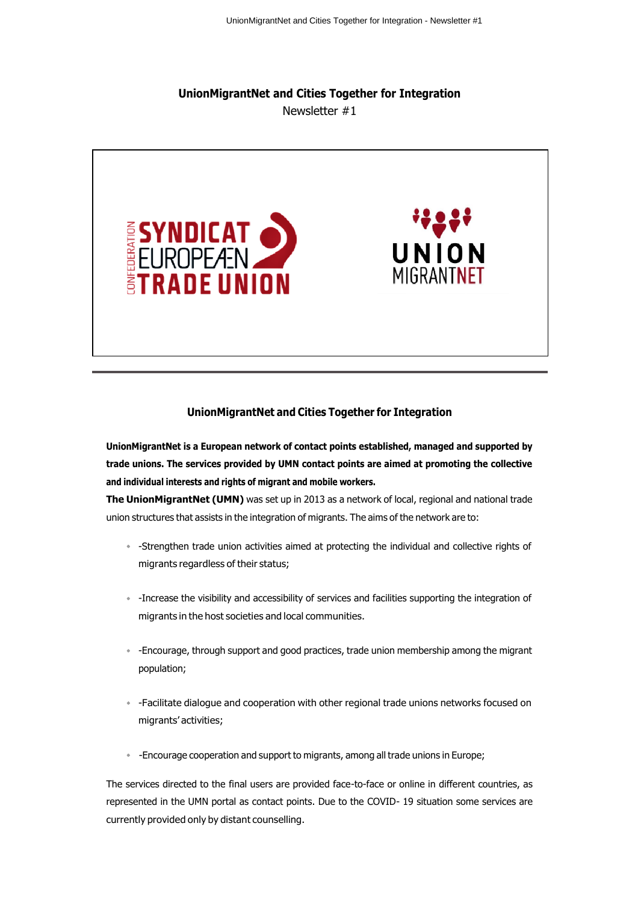## **UnionMigrantNet and Cities Together for Integration** Newsletter #1



#### **UnionMigrantNet and Cities Together for Integration**

**UnionMigrantNet is a European network of contact points established, managed and supported by trade unions. The services provided by UMN contact points are aimed at promoting the collective and individual interests and rights of migrant and mobile workers.**

**The UnionMigrantNet (UMN)** was set up in 2013 as a network of local, regional and national trade union structures that assists in the integration of migrants. The aims of the network are to:

- -Strengthen trade union activities aimed at protecting the individual and collective rights of migrants regardless of their status;
- -Increase the visibility and accessibility of services and facilities supporting the integration of migrants in the host societies and local communities.
- -Encourage, through support and good practices, trade union membership among the migrant population;
- -Facilitate dialogue and cooperation with other regional trade unions networks focused on migrants' activities;
- -Encourage cooperation and support to migrants, among all trade unions in Europe;

The services directed to the final users are provided face-to-face or online in different countries, as represented in the UMN portal as contact points. Due to the COVID- 19 situation some services are currently provided only by distant counselling.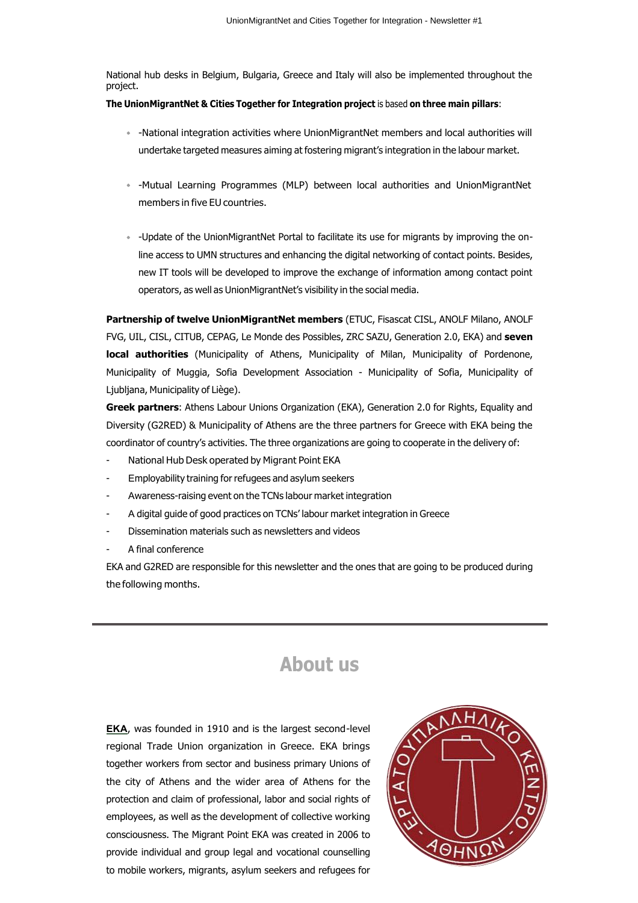National hub desks in Belgium, Bulgaria, Greece and Italy will also be implemented throughout the project.

#### **The UnionMigrantNet & Cities Together for Integration project** is based **on three main pillars**:

- -National integration activities where UnionMigrantNet members and local authorities will undertake targeted measures aiming at fostering migrant's integration in the labour market.
- -Mutual Learning Programmes (MLP) between local authorities and UnionMigrantNet members in five EU countries.
- -Update of the UnionMigrantNet Portal to facilitate its use for migrants by improving the online access to UMN structures and enhancing the digital networking of contact points. Besides, new IT tools will be developed to improve the exchange of information among contact point operators, as well as UnionMigrantNet's visibility in the social media.

**Partnership of twelve UnionMigrantNet members** (ETUC, Fisascat CISL, ANOLF Milano, ANOLF FVG, UIL, CISL, CITUB, CEPAG, Le Monde des Possibles, ZRC SAZU, Generation 2.0, EKA) and **seven local authorities** (Municipality of Athens, Municipality of Milan, Municipality of Pordenone, Municipality of Muggia, Sofia Development Association - Municipality of Sofia, Municipality of Ljubljana, Municipality of Liège).

**Greek partners**: Athens Labour Unions Organization (EKA), Generation 2.0 for Rights, Equality and Diversity (G2RED) & Municipality of Athens are the three partners for Greece with EKA being the coordinator of country's activities. The three organizations are going to cooperate in the delivery of:

- National Hub Desk operated by Migrant Point EKA
- Employability training for refugees and asylum seekers
- Awareness-raising event on the TCNs labour market integration
- A digital guide of good practices on TCNs' labour market integration in Greece
- Dissemination materials such as newsletters and videos
- A final conference

EKA and G2RED are responsible for this newsletter and the ones that are going to be produced during the following months.

# **About us**

**ΕΚΑ**, was founded in 1910 and is the largest second-level regional Trade Union organization in Greece. EKA brings together workers from sector and business primary Unions of the city of Athens and the wider area of Athens for the protection and claim of professional, labor and social rights of employees, as well as the development of collective working consciousness. The Migrant Point EKA was created in 2006 to provide individual and group legal and vocational counselling to mobile workers, migrants, asylum seekers and refugees for

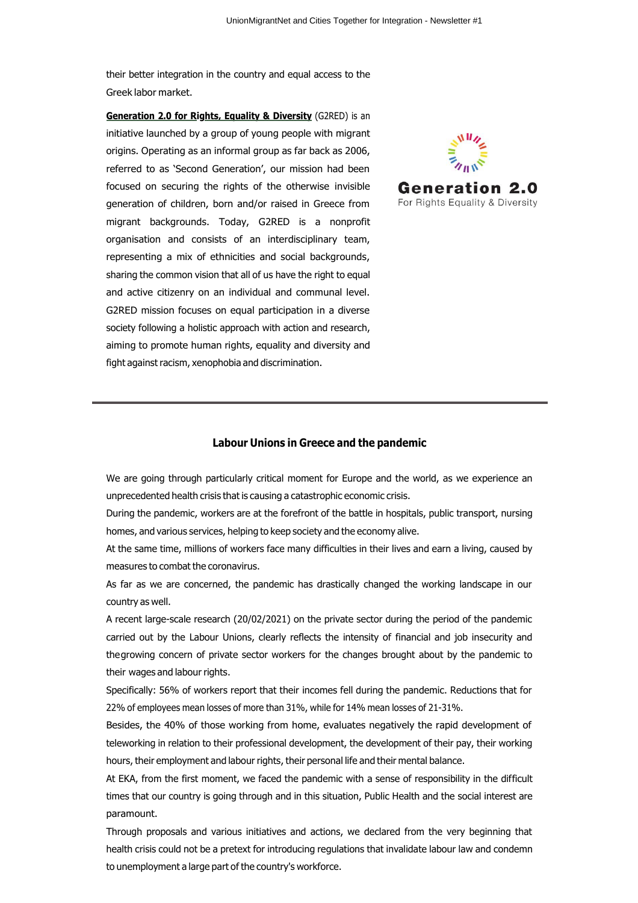their better integration in the country and equal access to the Greek labor market.

**Generation 2.0 for Rights, Equality & Diversity** (G2RED) is an initiative launched by a group of young people with migrant origins. Operating as an informal group as far back as 2006, referred to as 'Second Generation', our mission had been focused on securing the rights of the otherwise invisible generation of children, born and/or raised in Greece from migrant backgrounds. Today, G2RED is a nonprofit organisation and consists of an interdisciplinary team, representing a mix of ethnicities and social backgrounds, sharing the common vision that all of us have the right to equal and active citizenry on an individual and communal level. G2RED mission focuses on equal participation in a diverse society following a holistic approach with action and research, aiming to promote human rights, equality and diversity and fight against racism, xenophobia and discrimination.



#### **Labour Unions in Greece and the pandemic**

We are going through particularly critical moment for Europe and the world, as we experience an unprecedented health crisis that is causing a catastrophic economic crisis.

During the pandemic, workers are at the forefront of the battle in hospitals, public transport, nursing homes, and various services, helping to keep society and the economy alive.

At the same time, millions of workers face many difficulties in their lives and earn a living, caused by measures to combat the coronavirus.

As far as we are concerned, the pandemic has drastically changed the working landscape in our country as well.

A recent large-scale research (20/02/2021) on the private sector during the period of the pandemic carried out by the Labour Unions, clearly reflects the intensity of financial and job insecurity and thegrowing concern of private sector workers for the changes brought about by the pandemic to their wages and labour rights.

Specifically: 56% of workers report that their incomes fell during the pandemic. Reductions that for 22% of employees mean losses of more than 31%, while for 14% mean losses of 21-31%.

Besides, the 40% of those working from home, evaluates negatively the rapid development of teleworking in relation to their professional development, the development of their pay, their working hours, their employment and labour rights, their personal life and their mental balance.

At EKA, from the first moment, we faced the pandemic with a sense of responsibility in the difficult times that our country is going through and in this situation, Public Health and the social interest are paramount.

Through proposals and various initiatives and actions, we declared from the very beginning that health crisis could not be a pretext for introducing regulations that invalidate labour law and condemn to unemployment a large part of the country's workforce.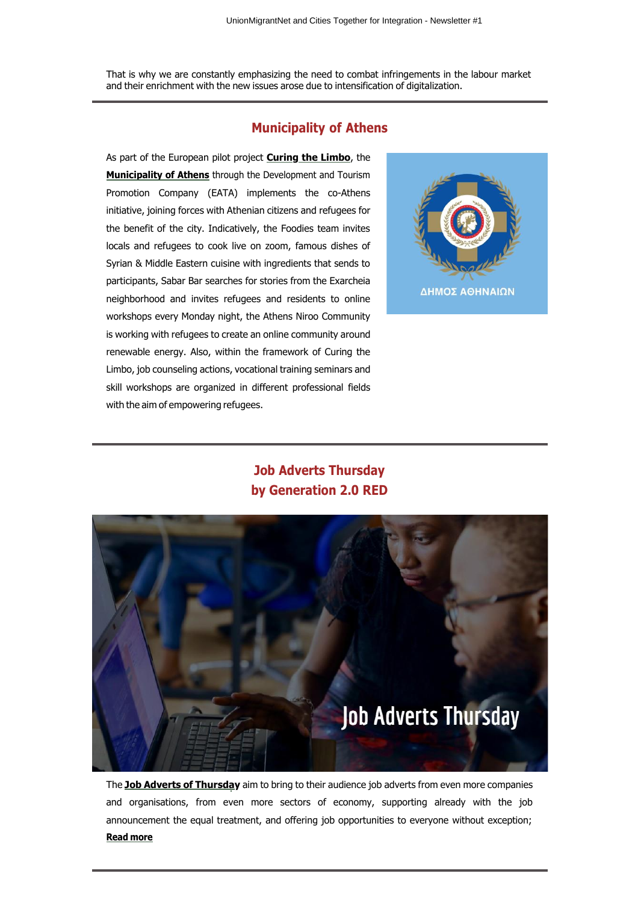That is why we are constantly emphasizing the need to combat infringements in the labour market and their enrichment with the new issues arose due to intensification of digitalization.

### **Municipality of Athens**

As part of the European pilot project **Curing the Limbo**, the **Municipality of Athens** through the Development and Tourism Promotion Company (EATA) implements the co-Athens initiative, joining forces with Athenian citizens and refugees for the benefit of the city. Indicatively, the Foodies team invites locals and refugees to cook live on zoom, famous dishes of Syrian & Middle Eastern cuisine with ingredients that sends to participants, Sabar Bar searches for stories from the Exarcheia neighborhood and invites refugees and residents to online workshops every Monday night, the Athens Niroo Community is working with refugees to create an online community around renewable energy. Also, within the framework of Curing the Limbo, job counseling actions, vocational training seminars and skill workshops are organized in different professional fields with the aim of empowering refugees.



# **Job Adverts Thursday by Generation 2.0 RED**



The **Job Adverts of Thursday** aim to bring to their audience job adverts from even more companies and organisations, from even more sectors of economy, supporting already with the job announcement the equal treatment, and offering job opportunities to everyone without exception; **Read more**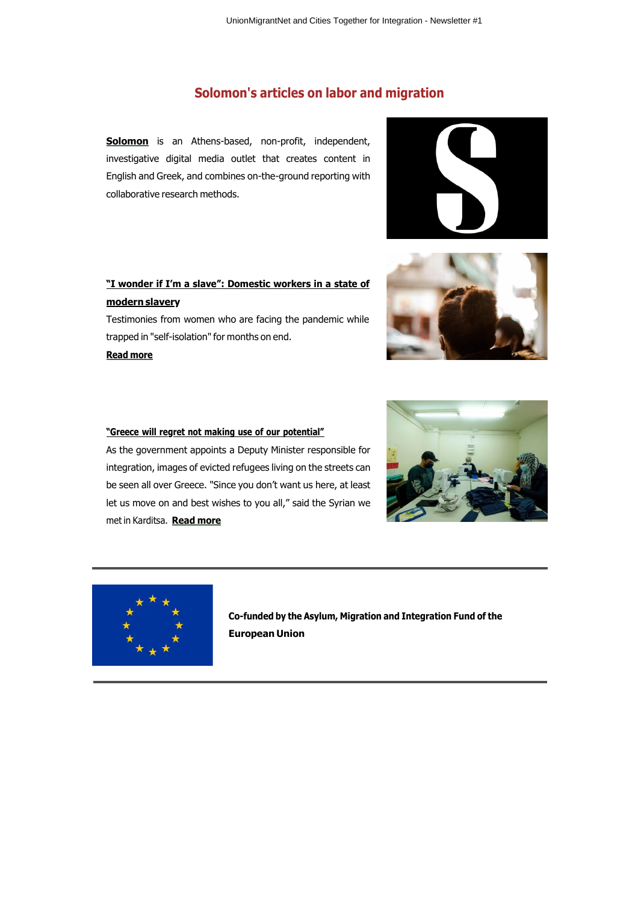# **Solomon's articles on labor and migration**

**Solomon** is an Athens-based, non-profit, independent, investigative digital media outlet that creates content in English and Greek, and combines on-the-ground reporting with collaborative research methods.

# **"I wonder if I'm a slave": Domestic workers in a state of modern slavery**

Testimonies from women who are facing the pandemic while trapped in "self-isolation" for months on end.

**Read more**





### **"Greece will regret not making use of our potential"**

As the government appoints a Deputy Minister responsible for integration, images of evicted refugees living on the streets can be seen all over Greece. "Since you don't want us here, at least let us move on and best wishes to you all," said the Syrian we met in Karditsa. **Read more**





**Co-funded by the Asylum, Migration and Integration Fund of the European Union**